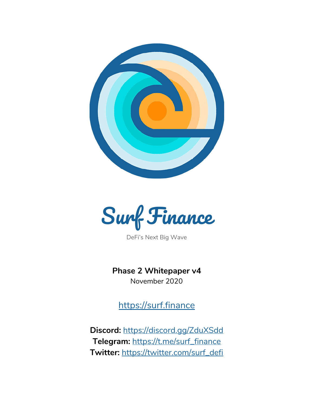



DeFi's Next Big Wave

**Phase 2 Whitepaper v4** November 2020

[https://surf.finance](https://surf.finance/)

**Discord:** <https://discord.gg/ZduXSdd> **Telegram:** [https://t.me/surf\\_finance](https://t.me/surf_finance) **Twitter:** [https://twitter.com/surf\\_defi](https://twitter.com/surf_defi)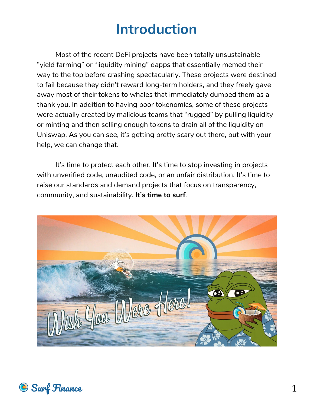## **Introduction**

Most of the recent DeFi projects have been totally unsustainable "yield farming" or "liquidity mining" dapps that essentially memed their way to the top before crashing spectacularly. These projects were destined to fail because they didn't reward long-term holders, and they freely gave away most of their tokens to whales that immediately dumped them as a thank you. In addition to having poor tokenomics, some of these projects were actually created by malicious teams that "rugged" by pulling liquidity or minting and then selling enough tokens to drain all of the liquidity on Uniswap. As you can see, it's getting pretty scary out there, but with your help, we can change that.

It's time to protect each other. It's time to stop investing in projects with unverified code, unaudited code, or an unfair distribution. It's time to raise our standards and demand projects that focus on transparency, community, and sustainability. **It's time to surf***.*



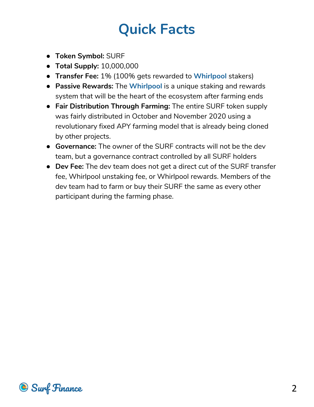# **Quick Facts**

- **Token Symbol:** SURF
- **Total Supply:** 10,000,000
- **Transfer Fee:** 1% (100% gets rewarded to **Whirlpool** stakers)
- **Passive Rewards:** The **Whirlpool** is a unique staking and rewards system that will be the heart of the ecosystem after farming ends
- **Fair Distribution Through Farming:** The entire SURF token supply was fairly distributed in October and November 2020 using a revolutionary fixed APY farming model that is already being cloned by other projects.
- **Governance:** The owner of the SURF contracts will not be the dev team, but a governance contract controlled by all SURF holders
- **Dev Fee:** The dev team does not get a direct cut of the SURF transfer fee, Whirlpool unstaking fee, or Whirlpool rewards. Members of the dev team had to farm or buy their SURF the same as every other participant during the farming phase.

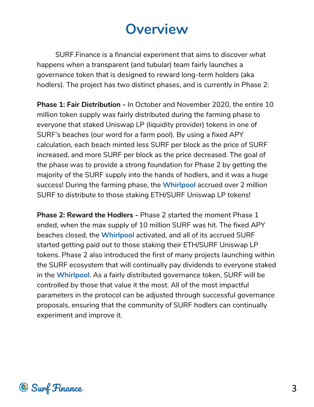## **Overview**

SURF.Finance is a financial experiment that aims to discover what happens when a transparent (and tubular) team fairly launches a governance token that is designed to reward long-term holders (aka hodlers). The project has two distinct phases, and is currently in Phase 2:

**Phase 1: Fair Distribution -** In October and November 2020, the entire 10 million token supply was fairly distributed during the farming phase to everyone that staked Uniswap LP (liquidity provider) tokens in one of SURF's beaches (our word for a farm pool). By using a fixed APY calculation, each beach minted less SURF per block as the price of SURF increased, and more SURF per block as the price decreased. The goal of the phase was to provide a strong foundation for Phase 2 by getting the majority of the SURF supply into the hands of hodlers, and it was a huge success! During the farming phase, the **Whirlpool** accrued over 2 million SURF to distribute to those staking ETH/SURF Uniswap LP tokens!

**Phase 2: Reward the Hodlers -** Phase 2 started the moment Phase 1 ended, when the max supply of 10 million SURF was hit. The fixed APY beaches closed, the **Whirlpool** activated, and all of its accrued SURF started getting paid out to those staking their ETH/SURF Uniswap LP tokens. Phase 2 also introduced the first of many projects launching within the SURF ecosystem that will continually pay dividends to everyone staked in the **Whirlpool**. As a fairly distributed governance token, SURF will be controlled by those that value it the most. All of the most impactful parameters in the protocol can be adjusted through successful governance proposals, ensuring that the community of SURF hodlers can continually experiment and improve it.

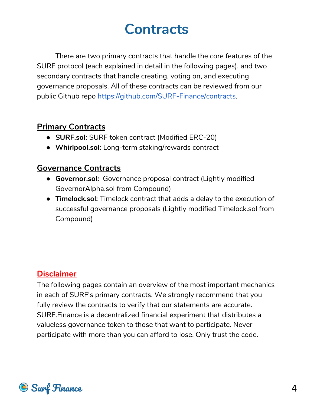## **Contracts**

There are two primary contracts that handle the core features of the SURF protocol (each explained in detail in the following pages), and two secondary contracts that handle creating, voting on, and executing governance proposals. All of these contracts can be reviewed from our public Github repo [https://github.com/SURF-Finance/contracts.](https://github.com/SURF-Finance/contracts)

### **Primary Contracts**

- **● SURF.sol:** SURF token contract (Modified ERC-20)
- **● Whirlpool.sol:** Long-term staking/rewards contract

### **Governance Contracts**

- **● Governor.sol:** Governance proposal contract (Lightly modified GovernorAlpha.sol from Compound)
- **● Timelock.sol:** Timelock contract that adds a delay to the execution of successful governance proposals (Lightly modified Timelock.sol from Compound)

### **Disclaimer**

The following pages contain an overview of the most important mechanics in each of SURF's primary contracts. We strongly recommend that you fully review the contracts to verify that our statements are accurate. SURF.Finance is a decentralized financial experiment that distributes a valueless governance token to those that want to participate. Never participate with more than you can afford to lose. Only trust the code.

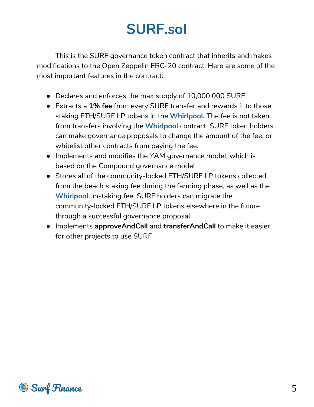# **SURF.sol**

This is the SURF governance token contract that inherits and makes modifications to the Open Zeppelin ERC-20 contract. Here are some of the most important features in the contract:

- Declares and enforces the max supply of 10,000,000 SURF
- Extracts a **1% fee** from every SURF transfer and rewards it to those staking ETH/SURF LP tokens in the **Whirlpool.** The fee is not taken from transfers involving the **Whirlpool** contract. SURF token holders can make governance proposals to change the amount of the fee, or whitelist other contracts from paying the fee.
- Implements and modifies the YAM governance model, which is based on the Compound governance model
- Stores all of the community-locked ETH/SURF LP tokens collected from the beach staking fee during the farming phase, as well as the **Whirlpool** unstaking fee. SURF holders can migrate the community-locked ETH/SURF LP tokens elsewhere in the future through a successful governance proposal.
- Implements **approveAndCall** and **transferAndCall** to make it easier for other projects to use SURF

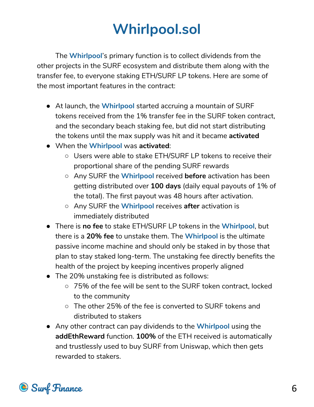# **Whirlpool.sol**

The **Whirlpool**'s primary function is to collect dividends from the other projects in the SURF ecosystem and distribute them along with the transfer fee, to everyone staking ETH/SURF LP tokens. Here are some of the most important features in the contract:

- At launch, the **Whirlpool** started accruing a mountain of SURF tokens received from the 1% transfer fee in the SURF token contract, and the secondary beach staking fee, but did not start distributing the tokens until the max supply was hit and it became **activated**
- When the **Whirlpool** was **activated**:
	- Users were able to stake ETH/SURF LP tokens to receive their proportional share of the pending SURF rewards
	- Any SURF the **Whirlpool** received **before** activation has been getting distributed over **100 days** (daily equal payouts of 1% of the total). The first payout was 48 hours after activation.
	- Any SURF the **Whirlpool** receives **after** activation is immediately distributed
- There is **no fee** to stake ETH/SURF LP tokens in the **Whirlpool**, but there is a **20% fee** to unstake them. The **Whirlpool** is the ultimate passive income machine and should only be staked in by those that plan to stay staked long-term. The unstaking fee directly benefits the health of the project by keeping incentives properly aligned
- The 20% unstaking fee is distributed as follows:
	- 75% of the fee will be sent to the SURF token contract, locked to the community
	- The other 25% of the fee is converted to SURF tokens and distributed to stakers
- Any other contract can pay dividends to the **Whirlpool** using the **addEthReward** function. **100%** of the ETH received is automatically and trustlessly used to buy SURF from Uniswap, which then gets rewarded to stakers.

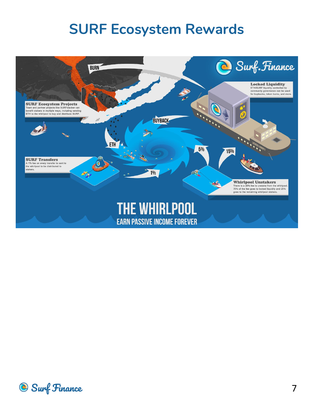### **SURF Ecosystem Rewards**